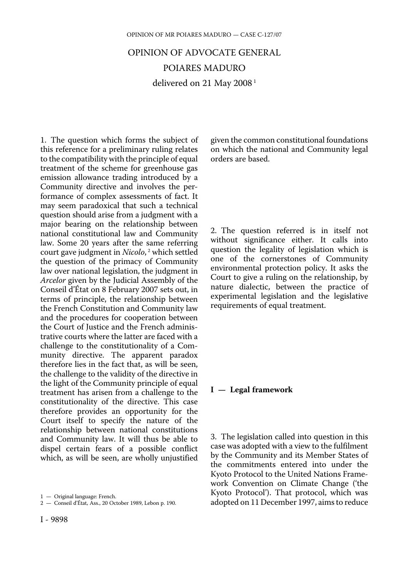# OPINION OF ADVOCATE GENERAL POIARES MADURO delivered on 21 May 2008<sup>1</sup>

1. The question which forms the subject of this reference for a preliminary ruling relates to the compatibility with the principle of equal treatment of the scheme for greenhouse gas emission allowance trading introduced by a Community directive and involves the performance of complex assessments of fact. It may seem paradoxical that such a technical question should arise from a judgment with a major bearing on the relationship between national constitutional law and Community law. Some 20 years after the same referring court gave judgment in *Nicolo*,<sup>2</sup> which settled the question of the primacy of Community law over national legislation, the judgment in *Arcelor* given by the Judicial Assembly of the Conseil d'État on 8 February 2007 sets out, in terms of principle, the relationship between the French Constitution and Community law and the procedures for cooperation between the Court of Justice and the French administrative courts where the latter are faced with a challenge to the constitutionality of a Community directive. The apparent paradox therefore lies in the fact that, as will be seen, the challenge to the validity of the directive in the light of the Community principle of equal treatment has arisen from a challenge to the constitutionality of the directive. This case therefore provides an opportunity for the Court itself to specify the nature of the relationship between national constitutions and Community law. It will thus be able to dispel certain fears of a possible conflict which, as will be seen, are wholly unjustified

given the common constitutional foundations on which the national and Community legal orders are based.

2. The question referred is in itself not without significance either. It calls into question the legality of legislation which is one of the cornerstones of Community environmental protection policy. It asks the Court to give a ruling on the relationship, by nature dialectic, between the practice of experimental legislation and the legislative requirements of equal treatment.

#### **I — Legal framework**

3. The legislation called into question in this case was adopted with a view to the fulfilment by the Community and its Member States of the commitments entered into under the Kyoto Protocol to the United Nations Framework Convention on Climate Change ('the Kyoto Protocol'). That protocol, which was adopted on 11 December 1997, aims to reduce

<sup>1</sup> — Original language: French.

<sup>2</sup> — Conseil d'État, Ass., 20 October 1989, Lebon p. 190.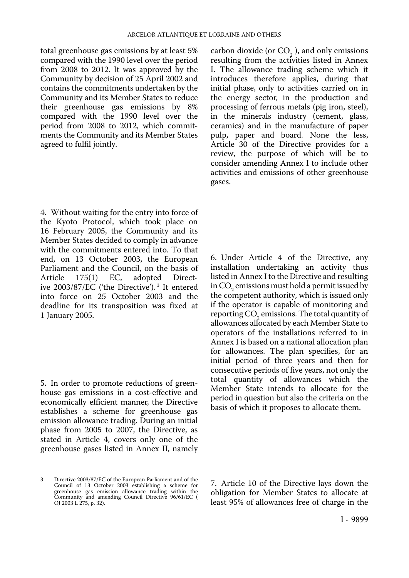total greenhouse gas emissions by at least 5% compared with the 1990 level over the period from 2008 to 2012. It was approved by the Community by decision of 25 April 2002 and contains the commitments undertaken by the Community and its Member States to reduce their greenhouse gas emissions by 8% compared with the 1990 level over the period from 2008 to 2012, which commitments the Community and its Member States agreed to fulfil jointly.

4. Without waiting for the entry into force of the Kyoto Protocol, which took place on 16 February 2005, the Community and its Member States decided to comply in advance with the commitments entered into. To that end, on 13 October 2003, the European Parliament and the Council, on the basis of<br>Article 175(1) EC, adopted Directadopted ive 2003/87/EC ('the Directive'). 3 It entered into force on 25 October 2003 and the deadline for its transposition was fixed at 1 January 2005.

5. In order to promote reductions of greenhouse gas emissions in a cost-effective and economically efficient manner, the Directive establishes a scheme for greenhouse gas emission allowance trading. During an initial phase from 2005 to 2007, the Directive, as stated in Article 4, covers only one of the greenhouse gases listed in Annex II, namely

3 — Directive 2003/87/EC of the European Parliament and of the Council of 13 October 2003 establishing a scheme for greenhouse gas emission allowance trading within the Community and amending Council Directive 96/61/EC ( OJ 2003 L 275, p. 32). carbon dioxide (or  $CO<sub>2</sub>$ ), and only emissions resulting from the activities listed in Annex I. The allowance trading scheme which it introduces therefore applies, during that initial phase, only to activities carried on in the energy sector, in the production and processing of ferrous metals (pig iron, steel), in the minerals industry (cement, glass, ceramics) and in the manufacture of paper pulp, paper and board. None the less, Article 30 of the Directive provides for a review, the purpose of which will be to consider amending Annex I to include other activities and emissions of other greenhouse gases.

6. Under Article 4 of the Directive, any installation undertaking an activity thus listed in Annex I to the Directive and resulting in CO<sub>2</sub> emissions must hold a permit issued by the competent authority, which is issued only if the operator is capable of monitoring and reporting  $CO<sub>2</sub>$  emissions. The total quantity of allowances allocated by each Member State to operators of the installations referred to in Annex I is based on a national allocation plan for allowances. The plan specifies, for an initial period of three years and then for consecutive periods of five years, not only the total quantity of allowances which the Member State intends to allocate for the period in question but also the criteria on the basis of which it proposes to allocate them.

7. Article 10 of the Directive lays down the obligation for Member States to allocate at least 95% of allowances free of charge in the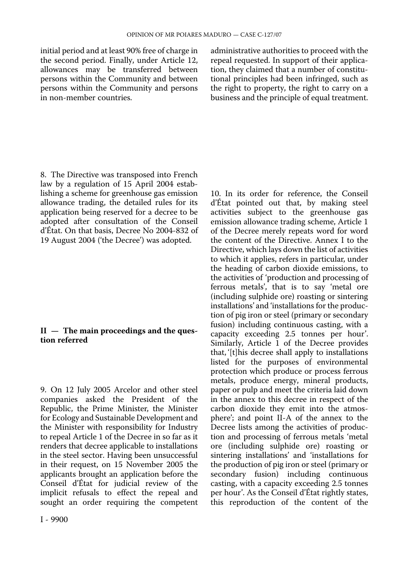initial period and at least 90% free of charge in the second period. Finally, under Article 12, allowances may be transferred between persons within the Community and between persons within the Community and persons in non-member countries.

administrative authorities to proceed with the repeal requested. In support of their application, they claimed that a number of constitutional principles had been infringed, such as the right to property, the right to carry on a business and the principle of equal treatment.

10. In its order for reference, the Conseil

8. The Directive was transposed into French law by a regulation of 15 April 2004 establishing a scheme for greenhouse gas emission allowance trading, the detailed rules for its application being reserved for a decree to be adopted after consultation of the Conseil d'État. On that basis, Decree No 2004-832 of 19 August 2004 ('the Decree') was adopted.

### **II — The main proceedings and the question referred**

9. On 12 July 2005 Arcelor and other steel companies asked the President of the Republic, the Prime Minister, the Minister for Ecology and Sustainable Development and the Minister with responsibility for Industry to repeal Article 1 of the Decree in so far as it renders that decree applicable to installations in the steel sector. Having been unsuccessful in their request, on 15 November 2005 the applicants brought an application before the Conseil d'État for judicial review of the implicit refusals to effect the repeal and sought an order requiring the competent d'État pointed out that, by making steel activities subject to the greenhouse gas emission allowance trading scheme, Article 1 of the Decree merely repeats word for word the content of the Directive. Annex I to the Directive, which lays down the list of activities to which it applies, refers in particular, under the heading of carbon dioxide emissions, to the activities of 'production and processing of ferrous metals', that is to say 'metal ore (including sulphide ore) roasting or sintering installations' and 'installations for the production of pig iron or steel (primary or secondary fusion) including continuous casting, with a capacity exceeding 2.5 tonnes per hour'. Similarly, Article 1 of the Decree provides that, '[t]his decree shall apply to installations listed for the purposes of environmental protection which produce or process ferrous metals, produce energy, mineral products, paper or pulp and meet the criteria laid down in the annex to this decree in respect of the carbon dioxide they emit into the atmosphere'; and point II-A of the annex to the Decree lists among the activities of production and processing of ferrous metals 'metal ore (including sulphide ore) roasting or sintering installations' and 'installations for the production of pig iron or steel (primary or secondary fusion) including continuous casting, with a capacity exceeding 2.5 tonnes per hour'. As the Conseil d'État rightly states, this reproduction of the content of the

I - 9900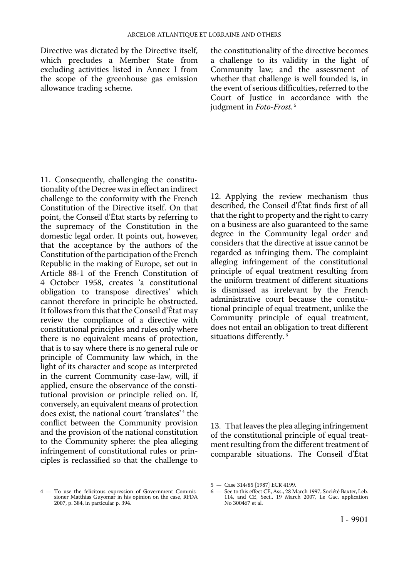Directive was dictated by the Directive itself, which precludes a Member State from excluding activities listed in Annex I from the scope of the greenhouse gas emission allowance trading scheme.

the constitutionality of the directive becomes a challenge to its validity in the light of Community law; and the assessment of whether that challenge is well founded is, in the event of serious difficulties, referred to the Court of Justice in accordance with the judgment in *Foto-Frost*. <sup>5</sup>

11. Consequently, challenging the constitutionality of the Decree was in effect an indirect challenge to the conformity with the French Constitution of the Directive itself. On that point, the Conseil d'État starts by referring to the supremacy of the Constitution in the domestic legal order. It points out, however, that the acceptance by the authors of the Constitution of the participation of the French Republic in the making of Europe, set out in Article 88-1 of the French Constitution of 4 October 1958, creates 'a constitutional obligation to transpose directives' which cannot therefore in principle be obstructed. It follows from this that the Conseil d'État may review the compliance of a directive with constitutional principles and rules only where there is no equivalent means of protection, that is to say where there is no general rule or principle of Community law which, in the light of its character and scope as interpreted in the current Community case-law, will, if applied, ensure the observance of the constitutional provision or principle relied on. If, conversely, an equivalent means of protection does exist, the national court 'translates' 4 the conflict between the Community provision and the provision of the national constitution to the Community sphere: the plea alleging infringement of constitutional rules or principles is reclassified so that the challenge to

12. Applying the review mechanism thus described, the Conseil d'État finds first of all that the right to property and the right to carry on a business are also guaranteed to the same degree in the Community legal order and considers that the directive at issue cannot be regarded as infringing them. The complaint alleging infringement of the constitutional principle of equal treatment resulting from the uniform treatment of different situations is dismissed as irrelevant by the French administrative court because the constitutional principle of equal treatment, unlike the Community principle of equal treatment, does not entail an obligation to treat different situations differently.<sup>6</sup>

13. That leaves the plea alleging infringement of the constitutional principle of equal treatment resulting from the different treatment of comparable situations. The Conseil d'État

<sup>4</sup> — To use the felicitous expression of Government Commissioner Matthias Guyomar in his opinion on the case, RFDA 2007, p. 384, in particular p. 394.

<sup>5</sup> — Case 314/85 [1987] ECR 4199.

<sup>6</sup> — See to this effect CE, Ass., 28 March 1997, Société Baxter, Leb. 114, and CE, Sect., 19 March 2007, Le Gac, application No 300467 et al.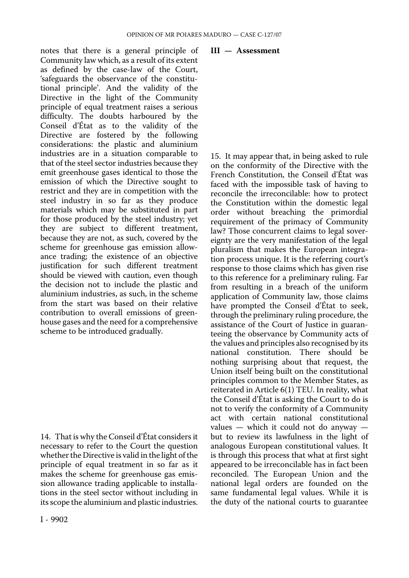notes that there is a general principle of Community law which, as a result of its extent as defined by the case-law of the Court, 'safeguards the observance of the constitutional principle'. And the validity of the Directive in the light of the Community principle of equal treatment raises a serious difficulty. The doubts harboured by the Conseil d'État as to the validity of the Directive are fostered by the following considerations: the plastic and aluminium industries are in a situation comparable to that of the steel sector industries because they emit greenhouse gases identical to those the emission of which the Directive sought to restrict and they are in competition with the steel industry in so far as they produce materials which may be substituted in part for those produced by the steel industry; yet they are subject to different treatment, because they are not, as such, covered by the scheme for greenhouse gas emission allowance trading; the existence of an objective justification for such different treatment should be viewed with caution, even though the decision not to include the plastic and aluminium industries, as such, in the scheme from the start was based on their relative contribution to overall emissions of greenhouse gases and the need for a comprehensive scheme to be introduced gradually.

14. That is why the Conseil d'État considers it necessary to refer to the Court the question whether the Directive is valid in the light of the principle of equal treatment in so far as it makes the scheme for greenhouse gas emission allowance trading applicable to installations in the steel sector without including in its scope the aluminium and plastic industries.

#### **III — Assessment**

15. It may appear that, in being asked to rule on the conformity of the Directive with the French Constitution, the Conseil d'État was faced with the impossible task of having to reconcile the irreconcilable: how to protect the Constitution within the domestic legal order without breaching the primordial requirement of the primacy of Community law? Those concurrent claims to legal sovereignty are the very manifestation of the legal pluralism that makes the European integration process unique. It is the referring court's response to those claims which has given rise to this reference for a preliminary ruling. Far from resulting in a breach of the uniform application of Community law, those claims have prompted the Conseil d'État to seek, through the preliminary ruling procedure, the assistance of the Court of Justice in guaranteeing the observance by Community acts of the values and principles also recognised by its national constitution. There should be nothing surprising about that request, the Union itself being built on the constitutional principles common to the Member States, as reiterated in Article 6(1) TEU. In reality, what the Conseil d'État is asking the Court to do is not to verify the conformity of a Community act with certain national constitutional values — which it could not do anyway but to review its lawfulness in the light of analogous European constitutional values. It is through this process that what at first sight appeared to be irreconcilable has in fact been reconciled. The European Union and the national legal orders are founded on the same fundamental legal values. While it is the duty of the national courts to guarantee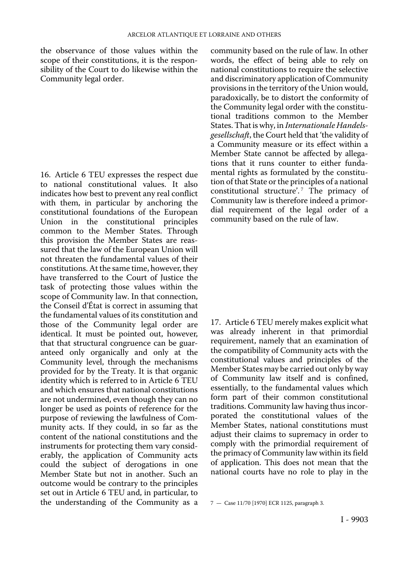the observance of those values within the scope of their constitutions, it is the responsibility of the Court to do likewise within the Community legal order.

16. Article 6 TEU expresses the respect due to national constitutional values. It also indicates how best to prevent any real conflict with them, in particular by anchoring the constitutional foundations of the European Union in the constitutional principles common to the Member States. Through this provision the Member States are reassured that the law of the European Union will not threaten the fundamental values of their constitutions. At the same time, however, they have transferred to the Court of Justice the task of protecting those values within the scope of Community law. In that connection, the Conseil d'État is correct in assuming that the fundamental values of its constitution and those of the Community legal order are identical. It must be pointed out, however, that that structural congruence can be guaranteed only organically and only at the Community level, through the mechanisms provided for by the Treaty. It is that organic identity which is referred to in Article 6 TEU and which ensures that national constitutions are not undermined, even though they can no longer be used as points of reference for the purpose of reviewing the lawfulness of Community acts. If they could, in so far as the content of the national constitutions and the instruments for protecting them vary considerably, the application of Community acts could the subject of derogations in one Member State but not in another. Such an outcome would be contrary to the principles set out in Article 6 TEU and, in particular, to the understanding of the Community as a community based on the rule of law. In other words, the effect of being able to rely on national constitutions to require the selective and discriminatory application of Community provisions in the territory of the Union would, paradoxically, be to distort the conformity of the Community legal order with the constitutional traditions common to the Member States. That is why, in *Internationale Handelsgesellschaft*, the Court held that 'the validity of a Community measure or its effect within a Member State cannot be affected by allegations that it runs counter to either fundamental rights as formulated by the constitution of that State or the principles of a national constitutional structure'.<sup>7</sup> The primacy of Community law is therefore indeed a primordial requirement of the legal order of a community based on the rule of law.

17. Article 6 TEU merely makes explicit what was already inherent in that primordial requirement, namely that an examination of the compatibility of Community acts with the constitutional values and principles of the Member States may be carried out only by way of Community law itself and is confined, essentially, to the fundamental values which form part of their common constitutional traditions. Community law having thus incorporated the constitutional values of the Member States, national constitutions must adjust their claims to supremacy in order to comply with the primordial requirement of the primacy of Community law within its field of application. This does not mean that the national courts have no role to play in the

<sup>7</sup> — Case 11/70 [1970] ECR 1125, paragraph 3.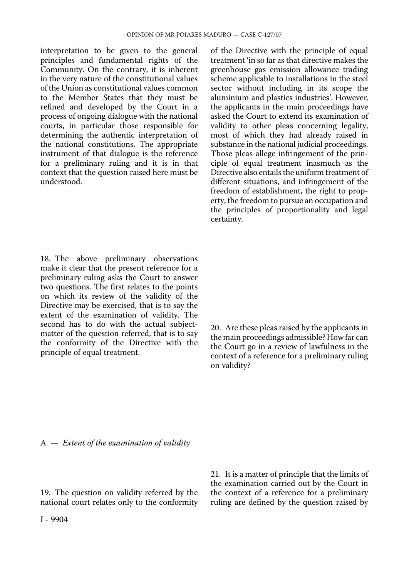interpretation to be given to the general principles and fundamental rights of the Community. On the contrary, it is inherent in the very nature of the constitutional values of the Union as constitutional values common to the Member States that they must be refined and developed by the Court in a process of ongoing dialogue with the national courts, in particular those responsible for determining the authentic interpretation of the national constitutions. The appropriate instrument of that dialogue is the reference for a preliminary ruling and it is in that context that the question raised here must be understood.

18. The above preliminary observations make it clear that the present reference for a preliminary ruling asks the Court to answer two questions. The first relates to the points on which its review of the validity of the Directive may be exercised, that is to say the extent of the examination of validity. The second has to do with the actual subjectmatter of the question referred, that is to say the conformity of the Directive with the principle of equal treatment.

of the Directive with the principle of equal treatment 'in so far as that directive makes the greenhouse gas emission allowance trading scheme applicable to installations in the steel sector without including in its scope the aluminium and plastics industries'. However, the applicants in the main proceedings have asked the Court to extend its examination of validity to other pleas concerning legality, most of which they had already raised in substance in the national judicial proceedings. Those pleas allege infringement of the principle of equal treatment inasmuch as the Directive also entails the uniform treatment of different situations, and infringement of the freedom of establishment, the right to property, the freedom to pursue an occupation and the principles of proportionality and legal certainty.

20. Are these pleas raised by the applicants in the main proceedings admissible? How far can the Court go in a review of lawfulness in the context of a reference for a preliminary ruling on validity?

A — *Extent of the examination of validity* 

19. The question on validity referred by the national court relates only to the conformity 21. It is a matter of principle that the limits of the examination carried out by the Court in the context of a reference for a preliminary ruling are defined by the question raised by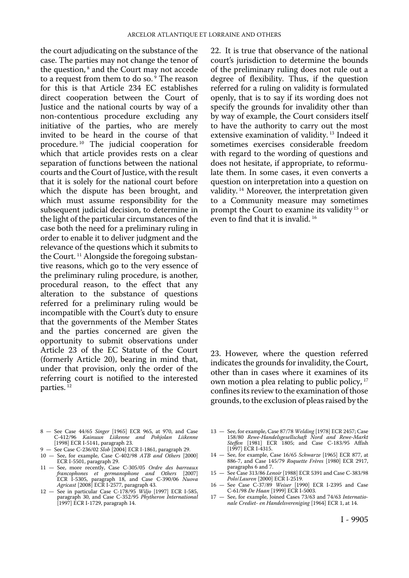the court adjudicating on the substance of the case. The parties may not change the tenor of the question,<sup>8</sup> and the Court may not accede to a request from them to do so.<sup>9</sup> The reason for this is that Article 234 EC establishes direct cooperation between the Court of Justice and the national courts by way of a non-contentious procedure excluding any initiative of the parties, who are merely invited to be heard in the course of that procedure. 10 The judicial cooperation for which that article provides rests on a clear separation of functions between the national courts and the Court of Justice, with the result that it is solely for the national court before which the dispute has been brought, and which must assume responsibility for the subsequent judicial decision, to determine in the light of the particular circumstances of the case both the need for a preliminary ruling in order to enable it to deliver judgment and the relevance of the questions which it submits to the Court. 11 Alongside the foregoing substantive reasons, which go to the very essence of the preliminary ruling procedure, is another, procedural reason, to the effect that any alteration to the substance of questions referred for a preliminary ruling would be incompatible with the Court's duty to ensure that the governments of the Member States and the parties concerned are given the opportunity to submit observations under Article 23 of the EC Statute of the Court (formerly Article 20), bearing in mind that, under that provision, only the order of the referring court is notified to the interested parties. 12

- 8 See Case 44/65 *Singer* [1965] ECR 965, at 970, and Case C-412/96 *Kainuun Liikenne and Pohjolan Liikenne*  [1998] ECR I-5141, paragraph 23.
- 9 See Case C-236/02 *Slob* [2004] ECR I-1861, paragraph 29.
- 10 See, for example, Case C-402/98 *ATB and Others* [2000] ECR I-5501, paragraph 29.
- 11 See, more recently, Case C-305/05 *Ordre des barreaux francophones et germanophone and Others* [2007] ECR I-5305, paragraph 18, and Case C-390/06 *Nuova Agricast* [2008] ECR I-2577, paragraph 43.
- 12 See in particular Case C-178/95 *Wiljo* [1997] ECR I-585, paragraph 30, and Case C-352/95 *Phytheron International*  [1997] ECR I-1729, paragraph 14.

22. It is true that observance of the national court's jurisdiction to determine the bounds of the preliminary ruling does not rule out a degree of flexibility. Thus, if the question referred for a ruling on validity is formulated openly, that is to say if its wording does not specify the grounds for invalidity other than by way of example, the Court considers itself to have the authority to carry out the most extensive examination of validity.<sup>13</sup> Indeed it sometimes exercises considerable freedom with regard to the wording of questions and does not hesitate, if appropriate, to reformulate them. In some cases, it even converts a question on interpretation into a question on validity. 14 Moreover, the interpretation given to a Community measure may sometimes prompt the Court to examine its validity 15 or even to find that it is invalid. 16

23. However, where the question referred indicates the grounds for invalidity, the Court, other than in cases where it examines of its own motion a plea relating to public policy, 17 confines its review to the examination of those grounds, to the exclusion of pleas raised by the

- 13 See, for example, Case 87/78 *Welding* [1978] ECR 2457; Case 158/80 *Rewe-Handelsgesellschaft Nord and Rewe-Markt Steffen* [1981] ECR 1805; and Case C-183/95 Affish [1997] ECR I-4315.
- 14 See, for example, Case 16/65 *Schwarze* [1965] ECR 877, at 886-7, and Case 145/79 *Roquette Frères* [1980] ECR 2917, paragraphs 6 and 7.
- 15 See Case 313/86 *Lenoir* [1988] ECR 5391 and Case C-383/98 *Polo*/*Lauren* [2000] ECR I-2519.
- 16 See Case C-37/89 *Weiser* [1990] ECR I-2395 and Case C-61/98 *De Haan* [1999] ECR I-5003.
- 17 See, for example, Joined Cases 73/63 and 74/63 *Internationale Crediet- en Handelsvereniging* [1964] ECR 1, at 14.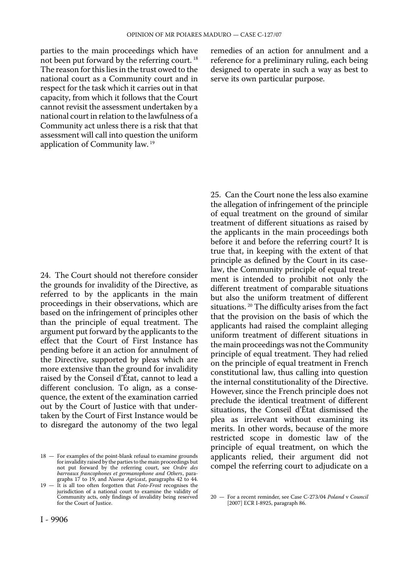parties to the main proceedings which have not been put forward by the referring court. 18 The reason for this lies in the trust owed to the national court as a Community court and in respect for the task which it carries out in that capacity, from which it follows that the Court cannot revisit the assessment undertaken by a national court in relation to the lawfulness of a Community act unless there is a risk that that assessment will call into question the uniform application of Community law. 19

24. The Court should not therefore consider the grounds for invalidity of the Directive, as referred to by the applicants in the main proceedings in their observations, which are based on the infringement of principles other than the principle of equal treatment. The argument put forward by the applicants to the effect that the Court of First Instance has pending before it an action for annulment of the Directive, supported by pleas which are more extensive than the ground for invalidity raised by the Conseil d'État, cannot to lead a different conclusion. To align, as a consequence, the extent of the examination carried out by the Court of Justice with that undertaken by the Court of First Instance would be to disregard the autonomy of the two legal

18 — For examples of the point-blank refusal to examine grounds for invalidity raised by the parties to the main proceedings but not put forward by the referring court, see *Ordre des barreaux francophones et germanophone and Others*, paragraphs 17 to 19, and *Nuova Agricast*, paragraphs 42 to 44.

19 — It is all too often forgotten that *Foto-Frost* recognises the jurisdiction of a national court to examine the validity of Community acts, only findings of invalidity being reserved for the Court of Justice.

remedies of an action for annulment and a reference for a preliminary ruling, each being designed to operate in such a way as best to serve its own particular purpose.

25. Can the Court none the less also examine the allegation of infringement of the principle of equal treatment on the ground of similar treatment of different situations as raised by the applicants in the main proceedings both before it and before the referring court? It is true that, in keeping with the extent of that principle as defined by the Court in its caselaw, the Community principle of equal treatment is intended to prohibit not only the different treatment of comparable situations but also the uniform treatment of different situations. 20 The difficulty arises from the fact that the provision on the basis of which the applicants had raised the complaint alleging uniform treatment of different situations in the main proceedings was not the Community principle of equal treatment. They had relied on the principle of equal treatment in French constitutional law, thus calling into question the internal constitutionality of the Directive. However, since the French principle does not preclude the identical treatment of different situations, the Conseil d'État dismissed the plea as irrelevant without examining its merits. In other words, because of the more restricted scope in domestic law of the principle of equal treatment, on which the applicants relied, their argument did not compel the referring court to adjudicate on a

<sup>20</sup> — For a recent reminder, see Case C-273/04 *Poland* v *Council*  [2007] ECR I-8925, paragraph 86.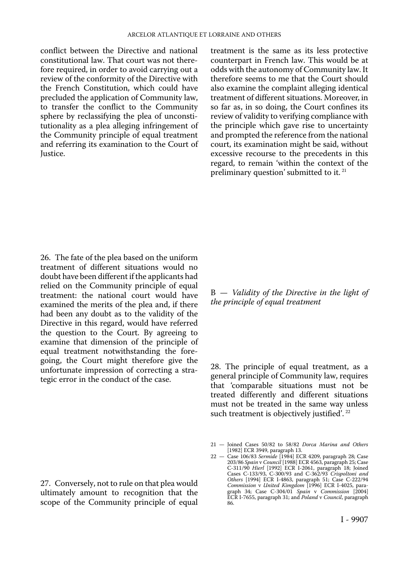conflict between the Directive and national constitutional law. That court was not therefore required, in order to avoid carrying out a review of the conformity of the Directive with the French Constitution, which could have precluded the application of Community law, to transfer the conflict to the Community sphere by reclassifying the plea of unconstitutionality as a plea alleging infringement of the Community principle of equal treatment and referring its examination to the Court of Justice.

treatment is the same as its less protective counterpart in French law. This would be at odds with the autonomy of Community law. It therefore seems to me that the Court should also examine the complaint alleging identical treatment of different situations. Moreover, in so far as, in so doing, the Court confines its review of validity to verifying compliance with the principle which gave rise to uncertainty and prompted the reference from the national court, its examination might be said, without excessive recourse to the precedents in this regard, to remain 'within the context of the preliminary question' submitted to it.<sup>21</sup>

26. The fate of the plea based on the uniform treatment of different situations would no doubt have been different if the applicants had relied on the Community principle of equal treatment: the national court would have examined the merits of the plea and, if there had been any doubt as to the validity of the Directive in this regard, would have referred the question to the Court. By agreeing to examine that dimension of the principle of equal treatment notwithstanding the foregoing, the Court might therefore give the unfortunate impression of correcting a strategic error in the conduct of the case.

27. Conversely, not to rule on that plea would ultimately amount to recognition that the scope of the Community principle of equal

B — *Validity of the Directive in the light of the principle of equal treatment* 

28. The principle of equal treatment, as a general principle of Community law, requires that 'comparable situations must not be treated differently and different situations must not be treated in the same way unless such treatment is objectively justified'. 22

<sup>21</sup> — Joined Cases 50/82 to 58/82 *Dorca Marina and Others*  [1982] ECR 3949, paragraph 13.

<sup>22</sup> — Case 106/83 *Sermide* [1984] ECR 4209, paragraph 28; Case 203/86 *Spain* v *Council* [1988] ECR 4563, paragraph 25; Case C-311/90 *Hierl* [1992] ECR I-2061, paragraph 18; Joined Cases C-133/93, C-300/93 and C-362/93 *Crispoltoni and Others* [1994] ECR I-4863, paragraph 51; Case C-222/94 *Commission* v *United Kimgdom* [1996] ECR I-4025, paragraph 34; Case C-304/01 *Spain* v *Commission* [2004] ECR I-7655, paragraph 31; and *Poland* v *Council*, paragraph 86.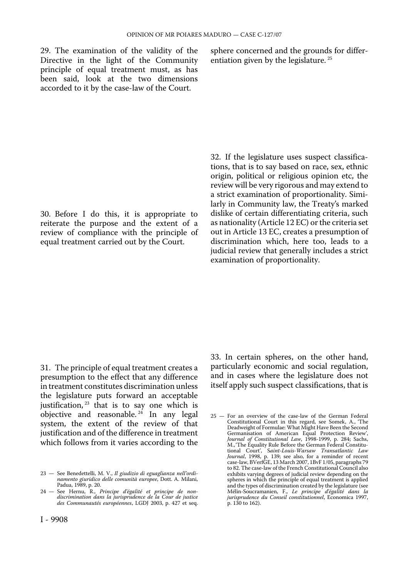29. The examination of the validity of the sphere concerned and the grounds for differ-<br>Directive in the light of the Community entiation given by the legislature.<sup>25</sup> Directive in the light of the Community principle of equal treatment must, as has been said, look at the two dimensions accorded to it by the case-law of the Court.

30. Before I do this, it is appropriate to reiterate the purpose and the extent of a review of compliance with the principle of equal treatment carried out by the Court.

32. If the legislature uses suspect classifications, that is to say based on race, sex, ethnic origin, political or religious opinion etc, the review will be very rigorous and may extend to a strict examination of proportionality. Similarly in Community law, the Treaty's marked dislike of certain differentiating criteria, such as nationality (Article 12 EC) or the criteria set out in Article 13 EC, creates a presumption of discrimination which, here too, leads to a judicial review that generally includes a strict examination of proportionality.

31. The principle of equal treatment creates a presumption to the effect that any difference in treatment constitutes discrimination unless the legislature puts forward an acceptable justification, <sup>23</sup> that is to say one which is objective and reasonable.<sup>24</sup> In any legal system, the extent of the review of that justification and of the difference in treatment which follows from it varies according to the

33. In certain spheres, on the other hand, particularly economic and social regulation, and in cases where the legislature does not itself apply such suspect classifications, that is

<sup>23</sup> — See Benedettelli, M. V., *Il giudizio di eguaglianza nell'ordinamento giuridico delle comunità europee*, Dott. A. Milani, Padua, 1989, p. 20.

<sup>24</sup> — See Hernu, R., *Principe d'égalité et principe de nondiscrimination dans la jurisprudence de la Cour de justice des Communautés européennes*, LGDJ 2003, p. 427 et seq.

<sup>25</sup> — For an overview of the case-law of the German Federal Constitutional Court in this regard, see Somek, A., 'The Deadweight of Formulae: What Might Have Been the Second Germanisation of American Equal Protection Review', *Journal of Constitutional Law*, 1998-1999, p. 284; Sachs, M.,'The Equality Rule Before the German Federal Constitu-tional Court', S*aint-Louis-Warsaw Transatlantic Law Journal*, 1998, p. 139; see also, for a reminder of recent case-law, BVerfGE, 13 March 2007, 1BvF 1/05, paragraphs 79 to 82. The case-law of the French Constitutional Council also exhibits varying degrees of judicial review depending on the spheres in which the principle of equal treatment is applied and the types of discrimination created by the legislature (see Mélin-Soucramanien, F., *Le principe d'égalité dans la jurisprudence du Conseil constitutionnel*, Economica 1997, p. 130 to 162).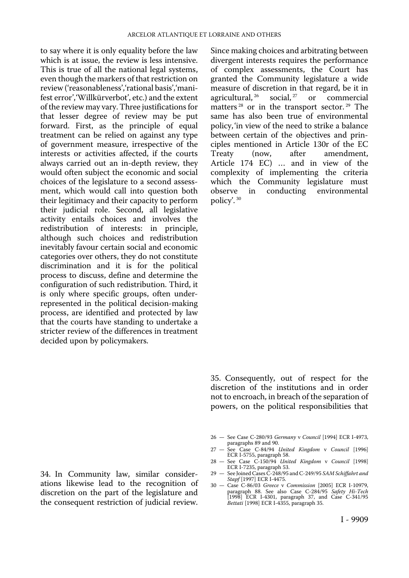to say where it is only equality before the law which is at issue, the review is less intensive. This is true of all the national legal systems, even though the markers of that restriction on review ('reasonableness','rational basis','manifest error','Willkürverbot', etc.) and the extent of the review may vary. Three justifications for that lesser degree of review may be put forward. First, as the principle of equal treatment can be relied on against any type of government measure, irrespective of the interests or activities affected, if the courts always carried out an in-depth review, they would often subject the economic and social choices of the legislature to a second assessment, which would call into question both their legitimacy and their capacity to perform their judicial role. Second, all legislative activity entails choices and involves the redistribution of interests: in principle, although such choices and redistribution inevitably favour certain social and economic categories over others, they do not constitute discrimination and it is for the political process to discuss, define and determine the configuration of such redistribution. Third, it is only where specific groups, often underrepresented in the political decision-making process, are identified and protected by law that the courts have standing to undertake a stricter review of the differences in treatment decided upon by policymakers.

34. In Community law, similar considerations likewise lead to the recognition of discretion on the part of the legislature and the consequent restriction of judicial review. Since making choices and arbitrating between divergent interests requires the performance of complex assessments, the Court has granted the Community legislature a wide measure of discretion in that regard, be it in agricultural,  $26$  social,  $27$  or commercial agricultural,  $^{26}$  social,  $^{27}$  or commercial matters<sup>28</sup> or in the transport sector.<sup>29</sup> The same has also been true of environmental policy, 'in view of the need to strike a balance between certain of the objectives and principles mentioned in Article 130r of the EC Treaty (now, after amendment, Article 174 EC) … and in view of the complexity of implementing the criteria which the Community legislature must<br>observe in conducting environmental conducting environmental policy'. 30

35. Consequently, out of respect for the discretion of the institutions and in order not to encroach, in breach of the separation of powers, on the political responsibilities that

- 26 See Case C-280/93 *Germany* v *Council* [1994] ECR I-4973,
- paragraphs 89 and 90. 27 See Case C-84/94 *United Kingdom* v *Council* [1996] ECR I-5755, paragraph 58.
- 28 See Case C-150/94 *United Kingdom* v *Council* [1998] ECR I-7235, paragraph 53.
- 29 See Joined Cases C-248/95 and C-249/95 *SAM Schiffahrt and Stapf* [1997] ECR I-4475.
- 30 Case C-86/03 *Greece* v *Commission* [2005] ECR I-10979, paragraph 88. See also Case C-284/95 *Safety Hi-Tech*  [1998] ECR I-4301, paragraph 37, and Case C-341/95 *Bettati* [1998] ECR I-4355, paragraph 35.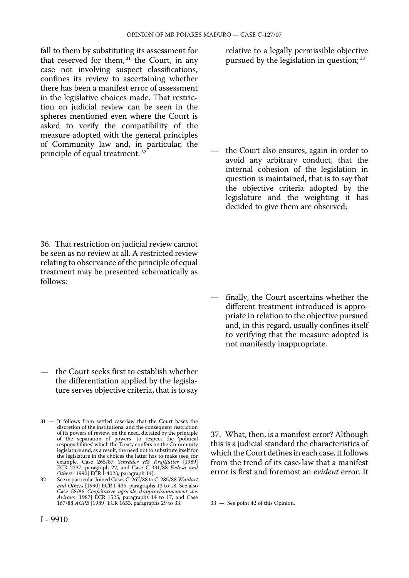fall to them by substituting its assessment for that reserved for them, <sup>31</sup> the Court, in any case not involving suspect classifications, confines its review to ascertaining whether there has been a manifest error of assessment in the legislative choices made. That restriction on judicial review can be seen in the spheres mentioned even where the Court is asked to verify the compatibility of the measure adopted with the general principles of Community law and, in particular, the principle of equal treatment. 32

36. That restriction on judicial review cannot be seen as no review at all. A restricted review relating to observance of the principle of equal treatment may be presented schematically as follows:

— the Court seeks first to establish whether the differentiation applied by the legislature serves objective criteria, that is to say

31 — It follows from settled case-law that the Court bases the discretion of the institutions, and the consequent restriction of its powers of review, on the need, dictated by the principle of the separation of powers, to respect the 'political of the separation of powers, to respect the responsibilities' which the Treaty confers on the Community legislature and, as a result, the need not to substitute itself for the legislature in the choices the latter has to make (see, for example, Case 265/87 *Schräder HS Kraftfutter* [1989] ECR 2237, paragraph 22, and Case C-331/88 *Fedesa and Others* [1990] ECR I-4023, paragraph 14).

32 — See in particular Joined Cases C-267/88 to C-285/88 *Wuidart and Others* [1990] ECR I-435, paragraphs 13 to 18. See also Case 58/86 *Coopérative agricole d'approvisionnement des Avirons* [1987] ECR 1525, paragraphs 14 to 17, and Case 167/88 *AGPB* [1989] ECR 1653, paragraphs 29 to 33. relative to a legally permissible objective pursued by the legislation in question; 33

— the Court also ensures, again in order to avoid any arbitrary conduct, that the internal cohesion of the legislation in question is maintained, that is to say that the objective criteria adopted by the legislature and the weighting it has decided to give them are observed;

— finally, the Court ascertains whether the different treatment introduced is appropriate in relation to the objective pursued and, in this regard, usually confines itself to verifying that the measure adopted is not manifestly inappropriate.

37. What, then, is a manifest error? Although this is a judicial standard the characteristics of which the Court defines in each case, it follows from the trend of its case-law that a manifest error is first and foremost an *evident* error. It

33 — See point 42 of this Opinion.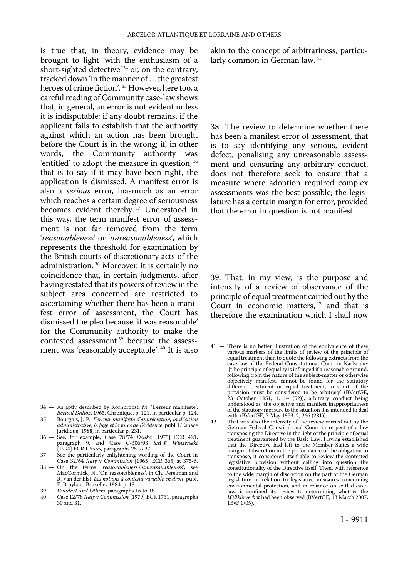is true that, in theory, evidence may be brought to light 'with the enthusiasm of a short-sighted detective' 34 or, on the contrary, tracked down 'in the manner of … the greatest heroes of crime fiction'. 35 However, here too, a careful reading of Community case-law shows that, in general, an error is not evident unless it is indisputable: if any doubt remains, if the applicant fails to establish that the authority against which an action has been brought before the Court is in the wrong; if, in other words, the Community authority was 'entitled' to adopt the measure in question, 36 that is to say if it may have been right, the application is dismissed. A manifest error is also a *serious* error, inasmuch as an error which reaches a certain degree of seriousness becomes evident thereby.<sup>37</sup> Understood in this way, the term manifest error of assessment is not far removed from the term '*reasonableness*' or '*unreasonableness*', which represents the threshold for examination by the British courts of discretionary acts of the administration. 38 Moreover, it is certainly no coincidence that, in certain judgments, after having restated that its powers of review in the subject area concerned are restricted to ascertaining whether there has been a manifest error of assessment, the Court has dismissed the plea because 'it was reasonable' for the Community authority to make the contested assessment 39 because the assessment was 'reasonably acceptable'. 40 It is also

- 34 As aptly described by Kornprobst, M., 'L'erreur manifeste', *Recueil Dalloz*, 1965, Chronique, p. 121, in particular p. 124.
- 35 Bourgois, J.-P., *L'erreur manifeste d'appréciation, la décision administrative, le juge et la force de l'évidence*, publ. L'Espace juridique, 1988, in particular p. 231.
- 36 See, for example, Case 78/74 *Deuka* [1975] ECR 421, paragraph 9, and Case C-306/93 *SMW Winzersekt*  [1994] ECR I-5555, paragraphs 25 to 27.
- 37 See the particularly enlightening wording of the Court in Case 32/64 *Italy* v *Commission* [1965] ECR 365, at 375-6.
- 38 On the terms '*reasonableness*'/'*unreasonableness*', see MacCormick, N., 'On reasonableness', in Ch. Perelman and R. Van der Elst, *Les notions à contenu variable en droit*, publ. E. Bruylant, Bruxelles 1984, p. 131.
- 39 *Wuidart and Others*, paragraphs 16 to 18.
- 40 Case 12/78 *Italy* v *Commission* [1979] ECR 1731, paragraphs 30 and 31.

akin to the concept of arbitrariness, particularly common in German law. <sup>41</sup>

38. The review to determine whether there has been a manifest error of assessment, that is to say identifying any serious, evident defect, penalising any unreasonable assessment and censuring any arbitrary conduct, does not therefore seek to ensure that a measure where adoption required complex assessments was the best possible; the legislature has a certain margin for error, provided that the error in question is not manifest.

39. That, in my view, is the purpose and intensity of a review of observance of the principle of equal treatment carried out by the Court in economic matters, <sup>42</sup> and that is therefore the examination which I shall now

- 41 There is no better illustration of the equivalence of these various markers of the limits of review of the principle of equal treatment than to quote the following extracts from the case-law of the Federal Constitutional Court in Karlsruhe: '[t]he principle of equality is infringed if a reasonable ground, following from the nature of the subject-matter or otherwise objectively manifest, cannot be found for the statutory different treatment or equal treatment, in short, if the provision must be considered to be arbitrary' (BVerfGE, 23 October 1951, 1, 14 (52)), arbitrary conduct being understood as 'the objective and manifest inappropriatness of the statutory measure to the situation it is intended to deal with' (BVerfGE, 7 May 1953, 2, 266 (281)).
- 42 That was also the intensity of the review carried out by the German Federal Constitutional Court in respect of a law transposing the Directive in the light of the principle of equal treatment guaranteed by the Basic Law. Having established that the Directive had left to the Member States a wide margin of discretion in the performance of the obligation to transpose, it considered itself able to review the contested legislative provision without calling into question the constitutionality of the Directive itself. Then, with reference to the wide margin of discretion on the part of the German legislature in relation to legislative measures concerning environmental protection, and in reliance on settled caselaw, it confined its review to determining whether the *Willkürverbot* had been observed (BVerfGE, 13 March 2007, 1BvF 1/05).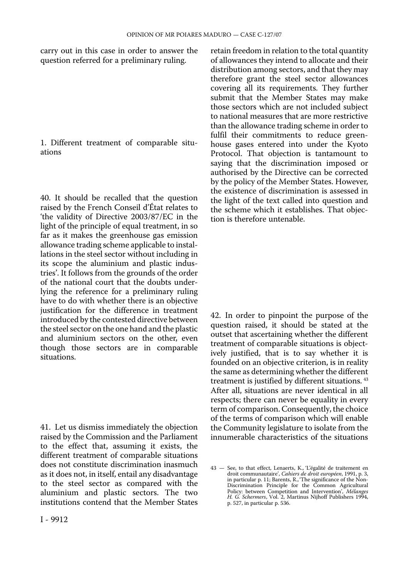carry out in this case in order to answer the question referred for a preliminary ruling.

1. Different treatment of comparable situations

40. It should be recalled that the question raised by the French Conseil d'État relates to 'the validity of Directive 2003/87/EC in the light of the principle of equal treatment, in so far as it makes the greenhouse gas emission allowance trading scheme applicable to installations in the steel sector without including in its scope the aluminium and plastic industries'. It follows from the grounds of the order of the national court that the doubts underlying the reference for a preliminary ruling have to do with whether there is an objective justification for the difference in treatment introduced by the contested directive between the steel sector on the one hand and the plastic and aluminium sectors on the other, even though those sectors are in comparable situations.

41. Let us dismiss immediately the objection raised by the Commission and the Parliament to the effect that, assuming it exists, the different treatment of comparable situations does not constitute discrimination inasmuch as it does not, in itself, entail any disadvantage to the steel sector as compared with the aluminium and plastic sectors. The two institutions contend that the Member States

retain freedom in relation to the total quantity of allowances they intend to allocate and their distribution among sectors, and that they may therefore grant the steel sector allowances covering all its requirements. They further submit that the Member States may make those sectors which are not included subject to national measures that are more restrictive than the allowance trading scheme in order to fulfil their commitments to reduce greenhouse gases entered into under the Kyoto Protocol. That objection is tantamount to saying that the discrimination imposed or authorised by the Directive can be corrected by the policy of the Member States. However, the existence of discrimination is assessed in the light of the text called into question and the scheme which it establishes. That objection is therefore untenable.

42. In order to pinpoint the purpose of the question raised, it should be stated at the outset that ascertaining whether the different treatment of comparable situations is objectively justified, that is to say whether it is founded on an objective criterion, is in reality the same as determining whether the different treatment is justified by different situations. 43 After all, situations are never identical in all respects; there can never be equality in every term of comparison. Consequently, the choice of the terms of comparison which will enable the Community legislature to isolate from the innumerable characteristics of the situations

<sup>43</sup> — See, to that effect, Lenaerts, K., 'L'égalité de traitement en droit communautaire', *Cahiers de droit européen*, 1991, p. 3, in particular p. 11; Barents, R., 'The significance of the Non-Discrimination Principle for the Common Agricultural Policy: between Competition and Intervention', *Mélanges H. G. Schermers*, Vol. 2, Martinus Nijhoff Publishers 1994, p. 527, in particular p. 536.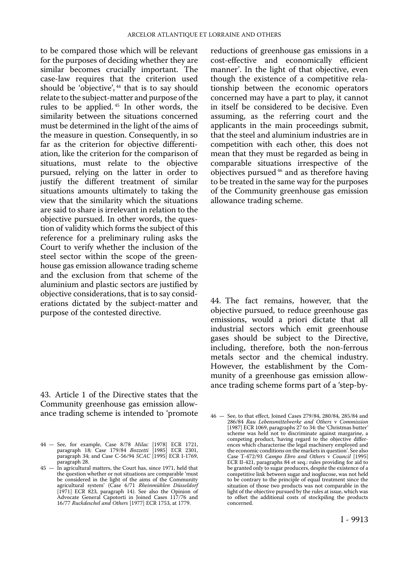to be compared those which will be relevant for the purposes of deciding whether they are similar becomes crucially important. The case-law requires that the criterion used should be 'objective',<sup>44</sup> that is to say should relate to the subject-matter and purpose of the rules to be applied. 45 In other words, the similarity between the situations concerned must be determined in the light of the aims of the measure in question. Consequently, in so far as the criterion for objective differentiation, like the criterion for the comparison of situations, must relate to the objective pursued, relying on the latter in order to justify the different treatment of similar situations amounts ultimately to taking the view that the similarity which the situations are said to share is irrelevant in relation to the objective pursued. In other words, the question of validity which forms the subject of this reference for a preliminary ruling asks the Court to verify whether the inclusion of the steel sector within the scope of the greenhouse gas emission allowance trading scheme and the exclusion from that scheme of the aluminium and plastic sectors are justified by objective considerations, that is to say considerations dictated by the subject-matter and purpose of the contested directive.

43. Article 1 of the Directive states that the Community greenhouse gas emission allowance trading scheme is intended to 'promote reductions of greenhouse gas emissions in a cost-effective and economically efficient manner'. In the light of that objective, even though the existence of a competitive relationship between the economic operators concerned may have a part to play, it cannot in itself be considered to be decisive. Even assuming, as the referring court and the applicants in the main proceedings submit, that the steel and aluminium industries are in competition with each other, this does not mean that they must be regarded as being in comparable situations irrespective of the objectives pursued 46 and as therefore having to be treated in the same way for the purposes of the Community greenhouse gas emission allowance trading scheme.

44. The fact remains, however, that the objective pursued, to reduce greenhouse gas emissions, would a priori dictate that all industrial sectors which emit greenhouse gases should be subject to the Directive, including, therefore, both the non-ferrous metals sector and the chemical industry. However, the establishment by the Community of a greenhouse gas emission allowance trading scheme forms part of a 'step-by-

<sup>44</sup> — See, for example, Case 8/78 *Milac* [1978] ECR 1721, paragraph 18; Case 179/84 *Bozzetti* [1985] ECR 2301, paragraph 34; and Case C-56/94 *SCAC* [1995] ECR I-1769, paragraph 28.

<sup>45</sup> — In agricultural matters, the Court has, since 1971, held that the question whether or not situations are comparable 'must be considered in the light of the aims of the Community agricultural system' (Case 6/71 *Rheinmühlen Düsseldorf*  [1971] ECR 823, paragraph 14). See also the Opinion of Advocate General Capotorti in Joined Cases 117/76 and 16/77 *Ruckdeschel and Others* [1977] ECR 1753, at 1779.

<sup>46</sup> — See, to that effect, Joined Cases 279/84, 280/84, 285/84 and 286/84 *Rau Lebensmittelwerke and Others* v *Commission*  [1987] ECR 1069, paragraphs 27 to 34: the 'Christmas butter' scheme was held not to discriminate against margarine, a competing product, 'having regard to the objective differences which characterise the legal machinery employed and the economic conditions on the markets in question'. See also Case T-472/93 *Campo Ebro and Others* v *Council* [1995] ECR II-421, paragraphs 84 et seq.: rules providing for aid to be granted only to sugar producers, despite the existence of a competitive link between sugar and isoglucose, was not held to be contrary to the principle of equal treatment since the situation of those two products was not comparable in the light of the objective pursued by the rules at issue, which was to offset the additional costs of stockpiling the products concerned.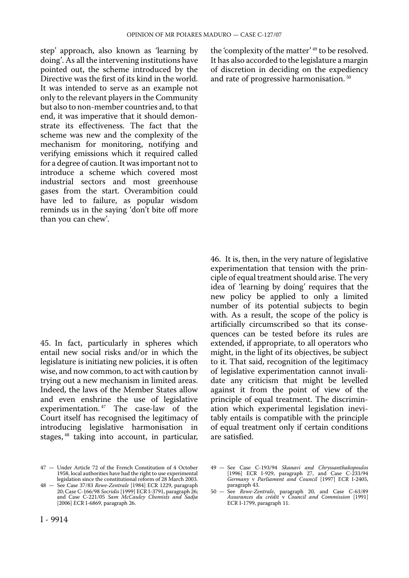step' approach, also known as 'learning by doing'. As all the intervening institutions have pointed out, the scheme introduced by the Directive was the first of its kind in the world. It was intended to serve as an example not only to the relevant players in the Community but also to non-member countries and, to that end, it was imperative that it should demonstrate its effectiveness. The fact that the scheme was new and the complexity of the mechanism for monitoring, notifying and verifying emissions which it required called for a degree of caution. It was important not to introduce a scheme which covered most industrial sectors and most greenhouse gases from the start. Overambition could have led to failure, as popular wisdom reminds us in the saying 'don't bite off more than you can chew'.

45. In fact, particularly in spheres which entail new social risks and/or in which the legislature is initiating new policies, it is often wise, and now common, to act with caution by trying out a new mechanism in limited areas. Indeed, the laws of the Member States allow and even enshrine the use of legislative experimentation. 47 The case-law of the Court itself has recognised the legitimacy of introducing legislative harmonisation in stages, 48 taking into account, in particular,

the 'complexity of the matter' 49 to be resolved. It has also accorded to the legislature a margin of discretion in deciding on the expediency and rate of progressive harmonisation. 50

46. It is, then, in the very nature of legislative experimentation that tension with the principle of equal treatment should arise. The very idea of 'learning by doing' requires that the new policy be applied to only a limited number of its potential subjects to begin with. As a result, the scope of the policy is artificially circumscribed so that its consequences can be tested before its rules are extended, if appropriate, to all operators who might, in the light of its objectives, be subject to it. That said, recognition of the legitimacy of legislative experimentation cannot invalidate any criticism that might be levelled against it from the point of view of the principle of equal treatment. The discrimination which experimental legislation inevitably entails is compatible with the principle of equal treatment only if certain conditions are satisfied.

<sup>47</sup> — Under Article 72 of the French Constitution of 4 October 1958, local authorities have had the right to use experimental legislation since the constitutional reform of 28 March 2003.

<sup>48</sup> — See Case 37/83 *Rewe-Zentrale* [1984] ECR 1229, paragraph 20; Case C-166/98 *Socridis* [1999] ECR I-3791, paragraph 26; and Case C-221/05 *Sam McCauley Chemists and Sadja*  [2006] ECR I-6869, paragraph 26.

<sup>49</sup> — See Case C-193/94 *Skanavi and Chryssanthakopoulos*  [1996] ECR I-929, paragraph 27, and Case C-233/94 *Germany* v *Parliament and Council* [1997] ECR I-2405, paragraph 43.

<sup>50</sup> — See *Rewe-Zentrale*, paragraph 20, and Case C-63/89 *Assurances du crédit* v *Council and Commission* [1991] ECR I-1799, paragraph 11.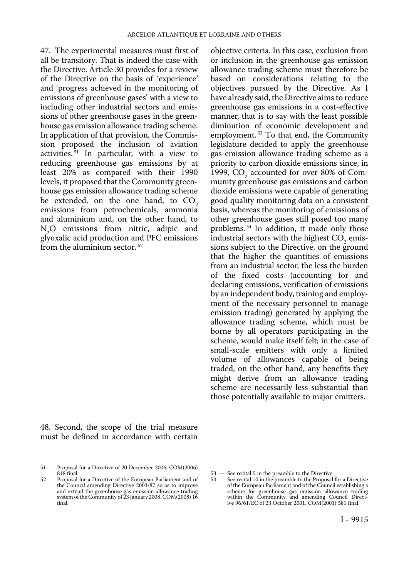47. The experimental measures must first of all be transitory. That is indeed the case with the Directive. Article 30 provides for a review of the Directive on the basis of 'experience' and 'progress achieved in the monitoring of emissions of greenhouse gases' with a view to including other industrial sectors and emissions of other greenhouse gases in the greenhouse gas emission allowance trading scheme. In application of that provision, the Commission proposed the inclusion of aviation activities. $51$  In particular, with a view to reducing greenhouse gas emissions by at least 20% as compared with their 1990 levels, it proposed that the Community greenhouse gas emission allowance trading scheme be extended, on the one hand, to  $CO<sub>2</sub>$ emissions from petrochemicals, ammonia and aluminium and, on the other hand, to N<sub>o</sub>O emissions from nitric, adipic and glyoxalic acid production and PFC emissions from the aluminium sector.  $52$ 

48. Second, the scope of the trial measure must be defined in accordance with certain

objective criteria. In this case, exclusion from or inclusion in the greenhouse gas emission allowance trading scheme must therefore be based on considerations relating to the objectives pursued by the Directive. As I have already said, the Directive aims to reduce greenhouse gas emissions in a cost-effective manner, that is to say with the least possible diminution of economic development and employment. 53 To that end, the Community legislature decided to apply the greenhouse gas emission allowance trading scheme as a priority to carbon dioxide emissions since, in 1999, CO<sub>2</sub> accounted for over 80% of Community greenhouse gas emissions and carbon dioxide emissions were capable of generating good quality monitoring data on a consistent basis, whereas the monitoring of emissions of other greenhouse gases still posed too many problems. 54 In addition, it made only those industrial sectors with the highest CO<sub>2</sub> emissions subject to the Directive, on the ground that the higher the quantities of emissions from an industrial sector, the less the burden of the fixed costs (accounting for and declaring emissions, verification of emissions by an independent body, training and employment of the necessary personnel to manage emission trading) generated by applying the allowance trading scheme, which must be borne by all operators participating in the scheme, would make itself felt; in the case of small-scale emitters with only a limited volume of allowances capable of being traded, on the other hand, any benefits they might derive from an allowance trading scheme are necessarily less substantial than those potentially available to major emitters.

<sup>51</sup> — Proposal for a Directive of 20 December 2006, COM(2006) 818 final.

<sup>52</sup> — Proposal for a Directive of the European Parliament and of the Council amending Directive 2003/87 so as to improve and extend the greenhouse gas emission allowance trading system of the Community of 23 January 2008, COM(2008) 16 final.

<sup>53</sup> — See recital 5 in the preamble to the Directive.

<sup>54</sup> — See recital 10 in the preamble to the Proposal for a Directive of the European Parliament and of the Council establishing a scheme for greenhouse gas emission allowance trading within the Community and amending Council Direct-ive 96/61/EC of 23 October 2001, COM(2001) 581 final.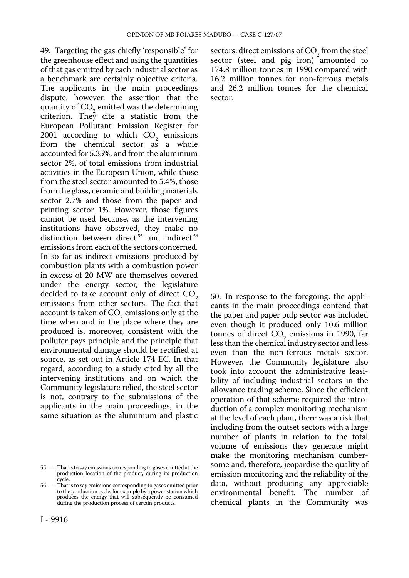49. Targeting the gas chiefly 'responsible' for the greenhouse effect and using the quantities of that gas emitted by each industrial sector as a benchmark are certainly objective criteria. The applicants in the main proceedings dispute, however, the assertion that the quantity of CO<sub>2</sub> emitted was the determining criterion. They cite a statistic from the European Pollutant Emission Register for  $2001$  according to which  $CO<sub>2</sub>$  emissions from the chemical sector as a whole accounted for 5.35%, and from the aluminium sector 2%, of total emissions from industrial activities in the European Union, while those from the steel sector amounted to 5.4%, those from the glass, ceramic and building materials sector 2.7% and those from the paper and printing sector 1%. However, those figures cannot be used because, as the intervening institutions have observed, they make no distinction between direct<sup>55</sup> and indirect<sup>56</sup> emissions from each of the sectors concerned. In so far as indirect emissions produced by combustion plants with a combustion power in excess of 20 MW are themselves covered under the energy sector, the legislature decided to take account only of direct CO<sub>2</sub> emissions from other sectors. The fact that account is taken of  $CO<sub>2</sub>$  emissions only at the time when and in the place where they are produced is, moreover, consistent with the polluter pays principle and the principle that environmental damage should be rectified at source, as set out in Article 174 EC. In that regard, according to a study cited by all the intervening institutions and on which the Community legislature relied, the steel sector is not, contrary to the submissions of the applicants in the main proceedings, in the same situation as the aluminium and plastic sectors: direct emissions of CO<sub>2</sub> from the steel sector (steel and pig iron) amounted to 174.8 million tonnes in 1990 compared with 16.2 million tonnes for non-ferrous metals and 26.2 million tonnes for the chemical sector.

50. In response to the foregoing, the applicants in the main proceedings contend that the paper and paper pulp sector was included even though it produced only 10.6 million tonnes of direct CO<sub>2</sub> emissions in 1990, far less than the chemical industry sector and less even than the non-ferrous metals sector. However, the Community legislature also took into account the administrative feasibility of including industrial sectors in the allowance trading scheme. Since the efficient operation of that scheme required the introduction of a complex monitoring mechanism at the level of each plant, there was a risk that including from the outset sectors with a large number of plants in relation to the total volume of emissions they generate might make the monitoring mechanism cumbersome and, therefore, jeopardise the quality of emission monitoring and the reliability of the data, without producing any appreciable environmental benefit. The number of chemical plants in the Community was

<sup>55</sup> — That is to say emissions corresponding to gases emitted at the production location of the product, during its production cycle.

<sup>56</sup> — That is to say emissions corresponding to gases emitted prior to the production cycle, for example by a power station which produces the energy that will subsequently be consumed during the production process of certain products.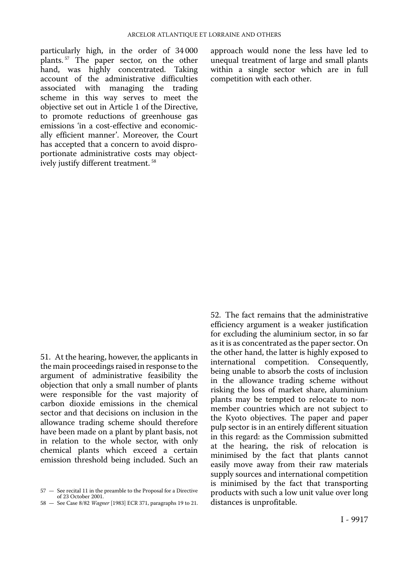particularly high, in the order of 34 000 plants. 57 The paper sector, on the other hand, was highly concentrated. Taking account of the administrative difficulties associated with managing the trading scheme in this way serves to meet the objective set out in Article 1 of the Directive, to promote reductions of greenhouse gas emissions 'in a cost-effective and economically efficient manner'. Moreover, the Court has accepted that a concern to avoid disproportionate administrative costs may objectively justify different treatment. 58

approach would none the less have led to unequal treatment of large and small plants within a single sector which are in full competition with each other.

51. At the hearing, however, the applicants in the main proceedings raised in response to the argument of administrative feasibility the objection that only a small number of plants were responsible for the vast majority of carbon dioxide emissions in the chemical sector and that decisions on inclusion in the allowance trading scheme should therefore have been made on a plant by plant basis, not in relation to the whole sector, with only chemical plants which exceed a certain emission threshold being included. Such an

52. The fact remains that the administrative efficiency argument is a weaker justification for excluding the aluminium sector, in so far as it is as concentrated as the paper sector. On the other hand, the latter is highly exposed to international competition. Consequently, being unable to absorb the costs of inclusion in the allowance trading scheme without risking the loss of market share, aluminium plants may be tempted to relocate to nonmember countries which are not subject to the Kyoto objectives. The paper and paper pulp sector is in an entirely different situation in this regard: as the Commission submitted at the hearing, the risk of relocation is minimised by the fact that plants cannot easily move away from their raw materials supply sources and international competition is minimised by the fact that transporting products with such a low unit value over long distances is unprofitable.

<sup>57</sup> — See recital 11 in the preamble to the Proposal for a Directive of 23 October 2001.

<sup>58</sup> — See Case 8/82 *Wagner* [1983] ECR 371, paragraphs 19 to 21.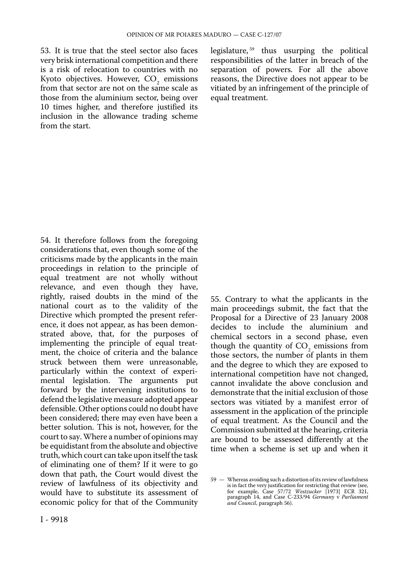53. It is true that the steel sector also faces very brisk international competition and there is a risk of relocation to countries with no Kyoto objectives. However, CO<sub>2</sub> emissions from that sector are not on the same scale as those from the aluminium sector, being over 10 times higher, and therefore justified its inclusion in the allowance trading scheme from the start.

legislature, 59 thus usurping the political responsibilities of the latter in breach of the separation of powers. For all the above reasons, the Directive does not appear to be vitiated by an infringement of the principle of equal treatment.

54. It therefore follows from the foregoing considerations that, even though some of the criticisms made by the applicants in the main proceedings in relation to the principle of equal treatment are not wholly without relevance, and even though they have, rightly, raised doubts in the mind of the national court as to the validity of the Directive which prompted the present reference, it does not appear, as has been demonstrated above, that, for the purposes of implementing the principle of equal treatment, the choice of criteria and the balance struck between them were unreasonable, particularly within the context of experimental legislation. The arguments put forward by the intervening institutions to defend the legislative measure adopted appear defensible. Other options could no doubt have been considered; there may even have been a better solution. This is not, however, for the court to say. Where a number of opinions may be equidistant from the absolute and objective truth, which court can take upon itself the task of eliminating one of them? If it were to go down that path, the Court would divest the review of lawfulness of its objectivity and would have to substitute its assessment of economic policy for that of the Community

55. Contrary to what the applicants in the main proceedings submit, the fact that the Proposal for a Directive of 23 January 2008 decides to include the aluminium and chemical sectors in a second phase, even though the quantity of  $CO<sub>2</sub>$  emissions from those sectors, the number of plants in them and the degree to which they are exposed to international competition have not changed, cannot invalidate the above conclusion and demonstrate that the initial exclusion of those sectors was vitiated by a manifest error of assessment in the application of the principle of equal treatment. As the Council and the Commission submitted at the hearing, criteria are bound to be assessed differently at the time when a scheme is set up and when it

<sup>59</sup> — Whereas avoiding such a distortion of its review of lawfulness is in fact the very justification for restricting that review (see, for example, Case 57/72 *Westzucker* [1973] ECR 321, paragraph 14, and Case C-233/94 *Germany* v *Parliament and Council*, paragraph 56).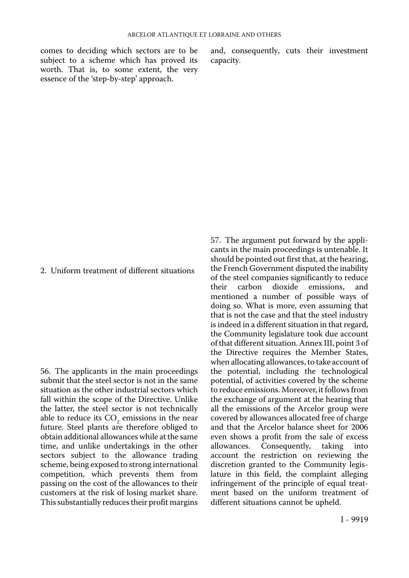comes to deciding which sectors are to be and, consequently, cuts their investment subject to a scheme which has proved its capacity. subject to a scheme which has proved its worth. That is, to some extent, the very essence of the 'step-by-step' approach.

#### 2. Uniform treatment of different situations

56. The applicants in the main proceedings submit that the steel sector is not in the same situation as the other industrial sectors which fall within the scope of the Directive. Unlike the latter, the steel sector is not technically able to reduce its  $CO<sub>2</sub>$  emissions in the near future. Steel plants are therefore obliged to obtain additional allowances while at the same time, and unlike undertakings in the other sectors subject to the allowance trading scheme, being exposed to strong international competition, which prevents them from passing on the cost of the allowances to their customers at the risk of losing market share. This substantially reduces their profit margins

57. The argument put forward by the applicants in the main proceedings is untenable. It should be pointed out first that, at the hearing, the French Government disputed the inability of the steel companies significantly to reduce<br>their carbon dioxide emissions. and carbon dioxide emissions, mentioned a number of possible ways of doing so. What is more, even assuming that that is not the case and that the steel industry is indeed in a different situation in that regard, the Community legislature took due account of that different situation. Annex III, point 3 of the Directive requires the Member States, when allocating allowances, to take account of the potential, including the technological potential, of activities covered by the scheme to reduce emissions. Moreover, it follows from the exchange of argument at the hearing that all the emissions of the Arcelor group were covered by allowances allocated free of charge and that the Arcelor balance sheet for 2006 even shows a profit from the sale of excess<br>allowances. Consequently, taking into allowances. Consequently, account the restriction on reviewing the discretion granted to the Community legislature in this field, the complaint alleging infringement of the principle of equal treatment based on the uniform treatment of different situations cannot be upheld.